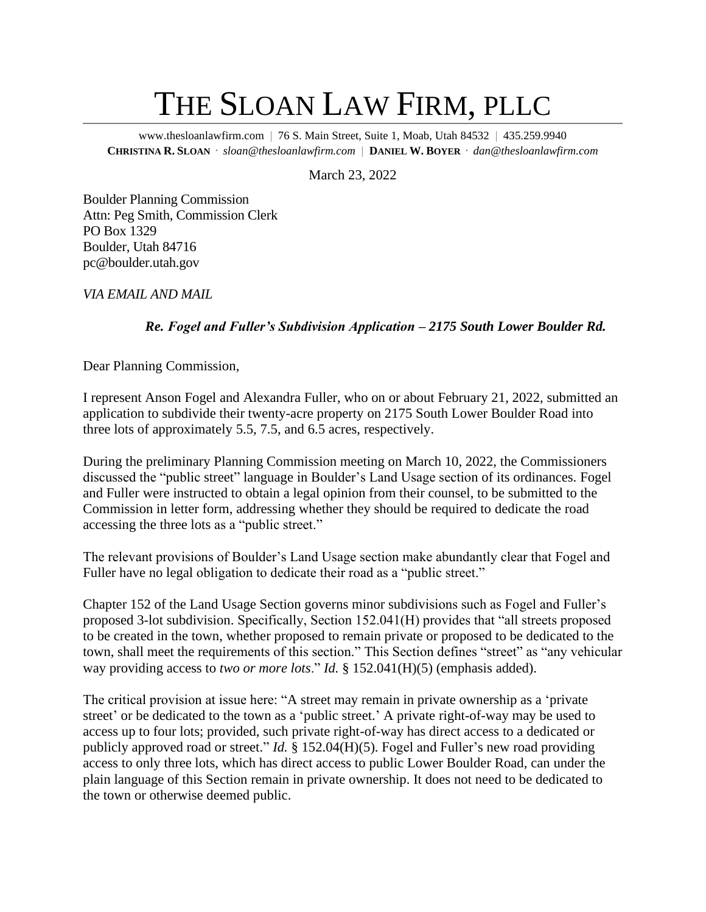## THE SLOAN LAW FIRM, PLLC

www.thesloanlawfirm.com | 76 S. Main Street, Suite 1, Moab, Utah 84532 | 435.259.9940 **CHRISTINA R. SLOAN** *sloan@thesloanlawfirm.com* |**DANIEL W. BOYER** *dan@thesloanlawfirm.com*

March 23, 2022

Boulder Planning Commission Attn: Peg Smith, Commission Clerk PO Box 1329 Boulder, Utah 84716 pc@boulder.utah.gov

*VIA EMAIL AND MAIL*

## *Re. Fogel and Fuller's Subdivision Application – 2175 South Lower Boulder Rd.*

Dear Planning Commission,

I represent Anson Fogel and Alexandra Fuller, who on or about February 21, 2022, submitted an application to subdivide their twenty-acre property on 2175 South Lower Boulder Road into three lots of approximately 5.5, 7.5, and 6.5 acres, respectively.

During the preliminary Planning Commission meeting on March 10, 2022, the Commissioners discussed the "public street" language in Boulder's Land Usage section of its ordinances. Fogel and Fuller were instructed to obtain a legal opinion from their counsel, to be submitted to the Commission in letter form, addressing whether they should be required to dedicate the road accessing the three lots as a "public street."

The relevant provisions of Boulder's Land Usage section make abundantly clear that Fogel and Fuller have no legal obligation to dedicate their road as a "public street."

Chapter 152 of the Land Usage Section governs minor subdivisions such as Fogel and Fuller's proposed 3-lot subdivision. Specifically, Section 152.041(H) provides that "all streets proposed to be created in the town, whether proposed to remain private or proposed to be dedicated to the town, shall meet the requirements of this section." This Section defines "street" as "any vehicular way providing access to *two or more lots*." *Id.* § 152.041(H)(5) (emphasis added).

The critical provision at issue here: "A street may remain in private ownership as a 'private street' or be dedicated to the town as a 'public street.' A private right-of-way may be used to access up to four lots; provided, such private right-of-way has direct access to a dedicated or publicly approved road or street." *Id.* § 152.04(H)(5). Fogel and Fuller's new road providing access to only three lots, which has direct access to public Lower Boulder Road, can under the plain language of this Section remain in private ownership. It does not need to be dedicated to the town or otherwise deemed public.